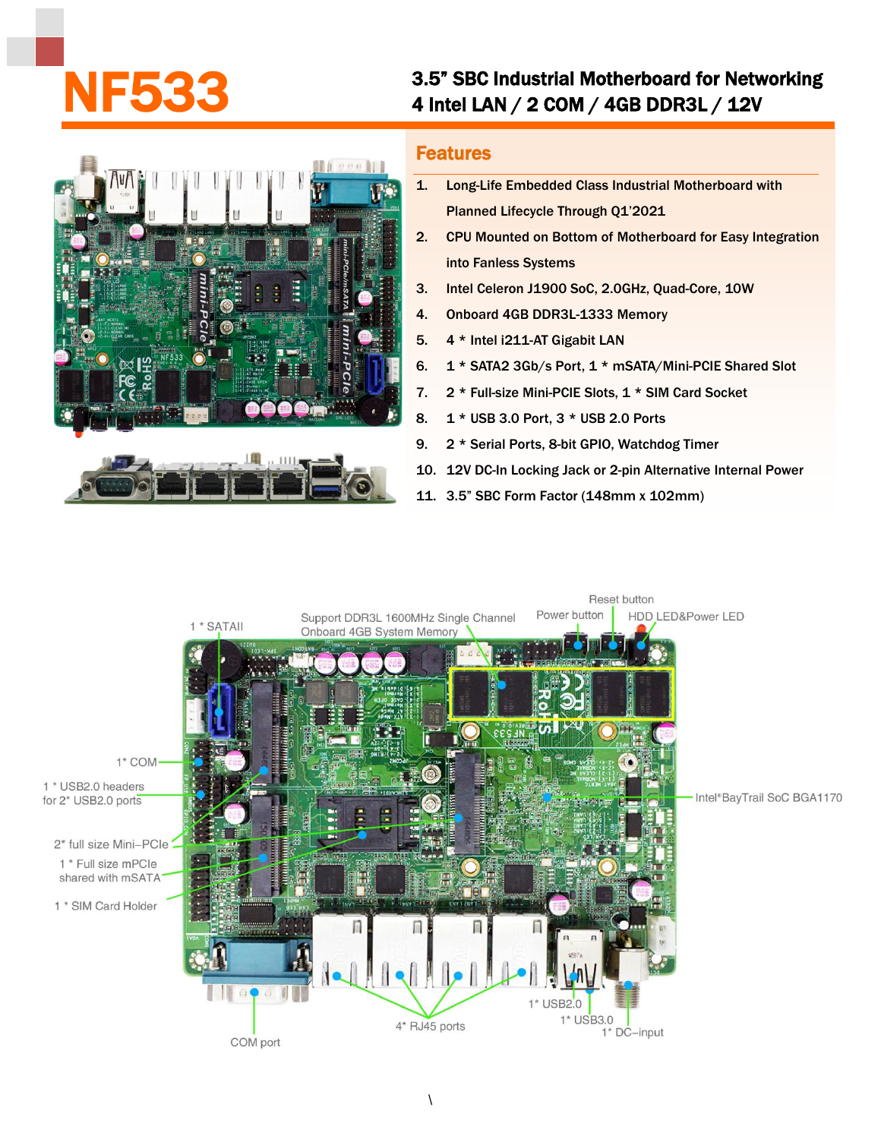## 3.5" SBC Industrial Motherboard for Networking<br>4 Intel LAN / 2 COM / 4GB DDR3L / 12V



## Features

- 1. Long-Life Embedded Class Industrial Motherboard with Planned Lifecycle Through Q1'2021
- 2. CPU Mounted on Bottom of Motherboard for Easy Integration into Fanless Systems
- 3. Intel Celeron J1900 SoC, 2.0GHz, Quad-Core, 10W
- 4. Onboard 4GB DDR3L-1333 Memory
- 5. 4 \* Intel i211-AT Gigabit LAN
- 6. 1 \* SATA2 3Gb/s Port, 1 \* mSATA/Mini-PCIE Shared Slot
- 7. 2 \* Full-size Mini-PCIE Slots, 1 \* SIM Card Socket
- 8. 1 \* USB 3.0 Port, 3 \* USB 2.0 Ports
- 9. 2 \* Serial Ports, 8-bit GPIO, Watchdog Timer
- 10. 12V DC-In Locking Jack or 2-pin Alternative Internal Power
- 11. 3.5" SBC Form Factor (148mm x 102mm)